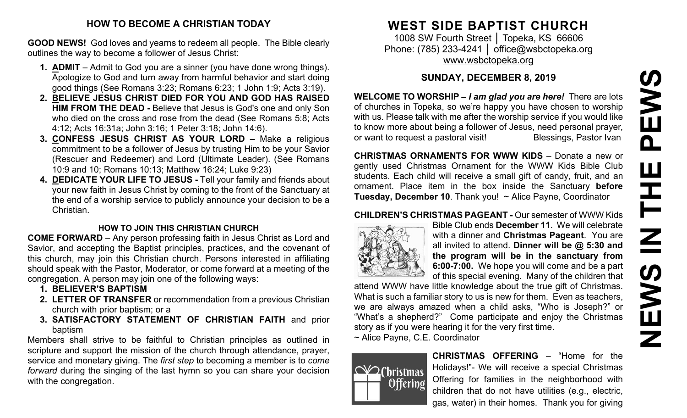# **HOW TO BECOME A CHRISTIAN TODAY**

**GOOD NEWS!** God loves and yearns to redeem all people. The Bible clearly outlines the way to become a follower of Jesus Christ:

- **1. ADMIT** Admit to God you are a sinner (you have done wrong things). Apologize to God and turn away from harmful behavior and start doing good things (See Romans 3:23; Romans 6:23; 1 John 1:9; Acts 3:19).
- **2. BELIEVE JESUS CHRIST DIED FOR YOU AND GOD HAS RAISED HIM FROM THE DEAD -** Believe that Jesus is God's one and only Son who died on the cross and rose from the dead (See Romans 5:8; Acts 4:12; Acts 16:31a; John 3:16; 1 Peter 3:18; John 14:6).
- **3. CONFESS JESUS CHRIST AS YOUR LORD –** Make a religious commitment to be a follower of Jesus by trusting Him to be your Savior (Rescuer and Redeemer) and Lord (Ultimate Leader). (See Romans 10:9 and 10; Romans 10:13; Matthew 16:24; Luke 9:23)
- **4. DEDICATE YOUR LIFE TO JESUS -** Tell your family and friends about your new faith in Jesus Christ by coming to the front of the Sanctuary at the end of a worship service to publicly announce your decision to be a Christian.

#### **HOW TO JOIN THIS CHRISTIAN CHURCH**

**COME FORWARD** – Any person professing faith in Jesus Christ as Lord and Savior, and accepting the Baptist principles, practices, and the covenant of this church, may join this Christian church. Persons interested in affiliating should speak with the Pastor, Moderator, or come forward at a meeting of the congregation. A person may join one of the following ways:

- **1. BELIEVER'S BAPTISM**
- **2. LETTER OF TRANSFER** or recommendation from a previous Christian church with prior baptism; or a
- **3. SATISFACTORY STATEMENT OF CHRISTIAN FAITH** and prior baptism

Members shall strive to be faithful to Christian principles as outlined in scripture and support the mission of the church through attendance, prayer, service and monetary giving. The *first step* to becoming a member is to *come forward* during the singing of the last hymn so you can share your decision with the congregation.

# **WEST SIDE BAPTIST CHURCH**

1008 SW Fourth Street │ Topeka, KS 66606 Phone: (785) 233-4241 │ [office@wsbctopeka.org](mailto:office@wsbctopeka.org) [www.wsbctopeka.org](http://www.wsbctopeka.org/)

# **SUNDAY, DECEMBER 8, 2019**

**WELCOME TO WORSHIP –** *I am glad you are here!* There are lots of churches in Topeka, so we're happy you have chosen to worship with us. Please talk with me after the worship service if you would like to know more about being a follower of Jesus, need personal prayer, or want to request a pastoral visit!<br>
Blessings, Pastor Ivan

**CHRISTMAS ORNAMENTS FOR WWW KIDS** – Donate a new or gently used Christmas Ornament for the WWW Kids Bible Club students. Each child will receive a small gift of candy, fruit, and an ornament. Place item in the box inside the Sanctuary **before Tuesday, December 10**. Thank you! ~ Alice Payne, Coordinator

# **CHILDREN'S CHRISTMAS PAGEANT -** Our semester of WWW Kids



Bible Club ends **December 11**. We will celebrate with a dinner and **Christmas Pageant**. You are all invited to attend. **Dinner will be @ 5:30 and the program will be in the sanctuary from 6:00-7:00.** We hope you will come and be a part of this special evening. Many of the children that

attend WWW have little knowledge about the true gift of Christmas. What is such a familiar story to us is new for them. Even as teachers, we are always amazed when a child asks, "Who is Joseph?" or "What's a shepherd?" Come participate and enjoy the Christmas story as if you were hearing it for the very first time.

~ Alice Payne, C.E. Coordinator



**CHRISTMAS OFFERING** – "Home for the Holidays!"- We will receive a special Christmas Offering for families in the neighborhood with children that do not have utilities (e.g., electric, gas, water) in their homes. Thank you for giving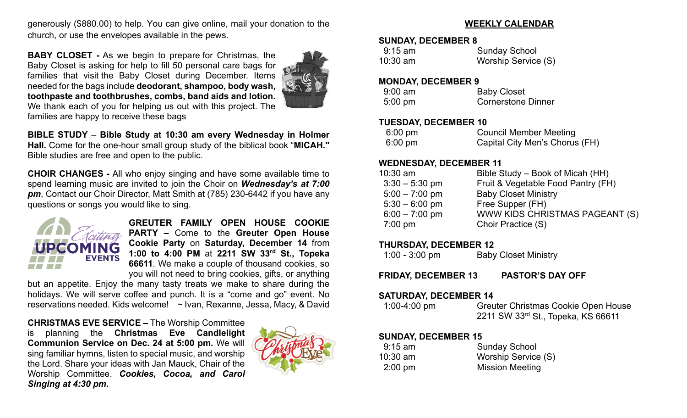generously (\$880.00) to help. You can give online, mail your donation to the church, or use the envelopes available in the pews.

**BABY CLOSET -** As we begin to prepare for Christmas, the Baby Closet is asking for help to fill 50 personal care bags for families that visit the Baby Closet during December. Items needed for the bags include **deodorant, shampoo, body wash, toothpaste and toothbrushes, combs, band aids and lotion.**  We thank each of you for helping us out with this project. The families are happy to receive these bags



**BIBLE STUDY** – **Bible Study at 10:30 am every Wednesday in Holmer Hall.** Come for the one-hour small group study of the biblical book "**MICAH."** Bible studies are free and open to the public.

**CHOIR CHANGES -** All who enjoy singing and have some available time to spend learning music are invited to join the Choir on *Wednesday's at 7:00 pm*, Contact our Choir Director, Matt Smith at (785) 230-6442 if you have any questions or songs you would like to sing.



**GREUTER FAMILY OPEN HOUSE COOKIE PARTY –** Come to the **Greuter Open House Cookie Party** on **Saturday, December 14** from **1:00 to 4:00 PM** at **2211 SW 33rd St., Topeka 66611**. We make a couple of thousand cookies, so you will not need to bring cookies, gifts, or anything

but an appetite. Enjoy the many tasty treats we make to share during the holidays. We will serve coffee and punch. It is a "come and go" event. No reservations needed. Kids welcome! ~ Ivan, Rexanne, Jessa, Macy, & David

**CHRISTMAS EVE SERVICE –** The Worship Committee is planning the **Christmas Eve Candlelight Communion Service on Dec. 24 at 5:00 pm.** We will sing familiar hymns, listen to special music, and worship the Lord. Share your ideas with Jan Mauck, Chair of the Worship Committee. *Cookies, Cocoa, and Carol Singing at 4:30 pm.*



## **WEEKLY CALENDAR**

#### **SUNDAY, DECEMBER 8**

| 9:15 am  | <b>Sunday School</b> |  |  |
|----------|----------------------|--|--|
| 10:30 am | Worship Service (S)  |  |  |

#### **MONDAY, DECEMBER 9**

| $9:00$ am         | <b>Baby Closet</b>        |
|-------------------|---------------------------|
| $5:00 \text{ pm}$ | <b>Cornerstone Dinner</b> |

#### **TUESDAY, DECEMBER 10**

| $6:00 \text{ pm}$ | <b>Council Member Meeting</b>  |
|-------------------|--------------------------------|
| $6:00 \text{ pm}$ | Capital City Men's Chorus (FH) |

#### **WEDNESDAY, DECEMBER 11**

| $10:30$ am        | Bible Study – Book of Micah (HH)   |
|-------------------|------------------------------------|
| $3:30 - 5:30$ pm  | Fruit & Vegetable Food Pantry (FH) |
| $5:00 - 7:00$ pm  | <b>Baby Closet Ministry</b>        |
| $5:30 - 6:00$ pm  | Free Supper (FH)                   |
| $6:00 - 7:00$ pm  | WWW KIDS CHRISTMAS PAGEANT (S)     |
| $7:00 \text{ pm}$ | Choir Practice (S)                 |
|                   |                                    |

# **THURSDAY, DECEMBER 12**

| $1:00 - 3:00$ pm | <b>Baby Closet Ministry</b> |
|------------------|-----------------------------|
|------------------|-----------------------------|

**FRIDAY, DECEMBER 13 PASTOR'S DAY OFF**

#### **SATURDAY, DECEMBER 14**

 1:00-4:00 pm Greuter Christmas Cookie Open House 2211 SW 33rd St., Topeka, KS 66611

# **SUNDAY, DECEMBER 15**

| $9:15$ am  | <b>Sunday School</b>   |
|------------|------------------------|
| $10:30$ am | Worship Service (S)    |
| $2:00$ pm  | <b>Mission Meeting</b> |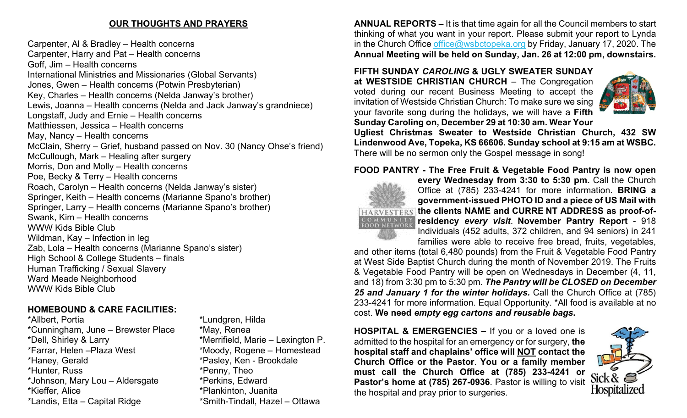# **OUR THOUGHTS AND PRAYERS**

Carpenter, Al & Bradley – Health concerns Carpenter, Harry and Pat – Health concerns Goff, Jim – Health concerns International Ministries and Missionaries (Global Servants) Jones, Gwen – Health concerns (Potwin Presbyterian) Key, Charles – Health concerns (Nelda Janway's brother) Lewis, Joanna – Health concerns (Nelda and Jack Janway's grandniece) Longstaff, Judy and Ernie – Health concerns Matthiessen, Jessica – Health concerns May, Nancy – Health concerns McClain, Sherry – Grief, husband passed on Nov. 30 (Nancy Ohse's friend) McCullough, Mark – Healing after surgery Morris, Don and Molly – Health concerns Poe, Becky & Terry – Health concerns Roach, Carolyn – Health concerns (Nelda Janway's sister) Springer, Keith – Health concerns (Marianne Spano's brother) Springer, Larry – Health concerns (Marianne Spano's brother) Swank, Kim – Health concerns WWW Kids Bible Club Wildman, Kay – Infection in leg Zab, Lola – Health concerns (Marianne Spano's sister) High School & College Students – finals Human Trafficking / Sexual Slavery Ward Meade Neighborhood WWW Kids Bible Club

# **HOMEBOUND & CARE FACILITIES:**

\*Allbert, Portia<br>\*Cunningham, June – Brewster Place \*May, Renea  $*$ Cunningham, June – Brewster Place \*Dell, Shirley & Larry \*Merrifield, Marie – Lexington P. \*Haney, Gerald \*Pasley, Ken - Brookdale \*Hunter, Russ \*Penny, Theo \*Johnson, Mary Lou – Aldersgate \*Perkins, Edward \*Kieffer, Alice \*Plankinton, Juanita \*Landis, Etta – Capital Ridge \*Smith-Tindall, Hazel – Ottawa

\*Moody, Rogene – Homestead

**ANNUAL REPORTS –** It is that time again for all the Council members to start thinking of what you want in your report. Please submit your report to Lynda in the Church Office [office@wsbctopeka.org](mailto:office@wsbctopeka.org) by Friday, January 17, 2020. The **Annual Meeting will be held on Sunday, Jan. 26 at 12:00 pm, downstairs.** 

#### **FIFTH SUNDAY** *CAROLING* **& UGLY SWEATER SUNDAY at WESTSIDE CHRISTIAN CHURCH** – The Congregation voted during our recent Business Meeting to accept the invitation of Westside Christian Church: To make sure we sing your favorite song during the holidays, we will have a **Fifth**



**Sunday Caroling on, December 29 at 10:30 am. Wear Your Ugliest Christmas Sweater to Westside Christian Church, 432 SW Lindenwood Ave, Topeka, KS 66606. Sunday school at 9:15 [am at](https://creativecommons.org/licenses/by/3.0/) WSBC.**  There will be no sermon only the Gospel message in song!

#### **FOOD PANTRY - The Free Fruit & Vegetable Food Pantry is now open**



**every Wednesday from 3:30 to 5:30 pm.** Call the Church Office at (785) 233-4241 for more information. **BRING a government-issued PHOTO ID and a piece of US Mail with the clients NAME and CURRE NT ADDRESS as proof-ofresidency** *every visit*. **November Pantry Report** - 918 Individuals (452 adults, 372 children, and 94 seniors) in 241 families were able to receive free bread, fruits, vegetables,

and other items (total 6,480 pounds) from the Fruit & Vegetable Food Pantry at West Side Baptist Church during the month of November 2019. The Fruits & Vegetable Food Pantry will be open on Wednesdays in December (4, 11, and 18) from 3:30 pm to 5:30 pm. *The Pantry will be CLOSED on December 25 and January 1 for the winter holidays.* Call the Church Office at (785) 233-4241 for more information. Equal Opportunity. \*All food is available at no cost. **We need** *empty egg cartons and reusable bags***.** 

**HOSPITAL & EMERGENCIES –** If you or a loved one is admitted to the hospital for an emergency or for surgery, **the hospital staff and chaplains' office will NOT contact the Church Office or the Pastor**. **You or a family member must call the Church Office at (785) 233-4241 or Pastor's home at (785) 267-0936**. Pastor is willing to visit the hospital and pray prior to surgeries.